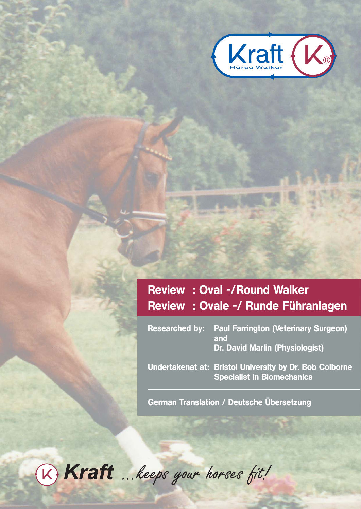

# Review : Oval -/Round Walker Review : Ovale -/ Runde Führanlagen

| <b>Researched by: Paul Farrington (Veterinary Surgeon)</b><br>and<br>Dr. David Marlin (Physiologist) |
|------------------------------------------------------------------------------------------------------|
| Undertakenat at: Bristol University by Dr. Bob Colborne<br><b>Specialist in Biomechanics</b>         |

German Translation / Deutsche Übersetzung

W Kraft ... keeps your horses fit!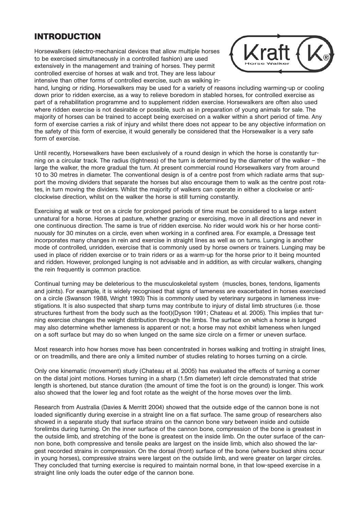## **INTRODUCTION**

Horsewalkers (electro-mechanical devices that allow multiple horses to be exercised simultaneously in a controlled fashion) are used extensively in the management and training of horses. They permit controlled exercise of horses at walk and trot. They are less labour intensive than other forms of controlled exercise, such as walking in-



hand, lunging or riding. Horsewalkers may be used for a variety of reasons including warming-up or cooling down prior to ridden exercise, as a way to relieve boredom in stabled horses, for controlled exercise as part of a rehabilitation programme and to supplement ridden exercise. Horsewalkers are often also used where ridden exercise is not desirable or possible, such as in preparation of young animals for sale. The majority of horses can be trained to accept being exercised on a walker within a short period of time. Any form of exercise carries a risk of injury and whilst there does not appear to be any objective information on the safety of this form of exercise, it would generally be considered that the Horsewalker is a very safe form of exercise.

Until recently, Horsewalkers have been exclusively of a round design in which the horse is constantly turning on a circular track. The radius (tightness) of the turn is determined by the diameter of the walker – the large the walker, the more gradual the turn. At present commercial round Horsewalkers vary from around 10 to 30 metres in diameter. The conventional design is of a centre post from which radiate arms that support the moving dividers that separate the horses but also encourage them to walk as the centre post rotates, in turn moving the dividers. Whilst the majority of walkers can operate in either a clockwise or anticlockwise direction, whilst on the walker the horse is still turning constantly.

Exercising at walk or trot on a circle for prolonged periods of time must be considered to a large extent unnatural for a horse. Horses at pasture, whether grazing or exercising, move in all directions and never in one continuous direction. The same is true of ridden exercise. No rider would work his or her horse continuously for 30 minutes on a circle, even when working in a confined area. For example, a Dressage test incorporates many changes in rein and exercise in straight lines as well as on turns. Lunging is another mode of controlled, unridden, exercise that is commonly used by horse owners or trainers. Lunging may be used in place of ridden exercise or to train riders or as a warm-up for the horse prior to it being mounted and ridden. However, prolonged lunging is not advisable and in addition, as with circular walkers, changing the rein frequently is common practice.

Continual turning may be deleterious to the musculoskeletal system (muscles, bones, tendons, ligaments and joints). For example, it is widely recognised that signs of lameness are exacerbated in horses exercised on a circle (Swanson 1988, Wright 1993) This is commonly used by veterinary surgeons in lameness investigations. It is also suspected that sharp turns may contribute to injury of distal limb structures (i.e. those structures furthest from the body such as the foot)(Dyson 1991; Chateau et al. 2005). This implies that turning exercise changes the weight distribution through the limbs. The surface on which a horse is lunged may also determine whether lameness is apparent or not; a horse may not exhibit lameness when lunged on a soft surface but may do so when lunged on the same size circle on a firmer or uneven surface.

Most research into how horses move has been concentrated in horses walking and trotting in straight lines, or on treadmills, and there are only a limited number of studies relating to horses turning on a circle.

Only one kinematic (movement) study (Chateau et al. 2005) has evaluated the effects of turning a corner on the distal joint motions. Horses turning in a sharp (1.5m diameter) left circle demonstrated that stride length is shortened, but stance duration (the amount of time the foot is on the ground) is longer. This work also showed that the lower leg and foot rotate as the weight of the horse moves over the limb.

Research from Australia (Davies & Merritt 2004) showed that the outside edge of the cannon bone is not loaded significantly during exercise in a straight line on a flat surface. The same group of researchers also showed in a separate study that surface strains on the cannon bone vary between inside and outside forelimbs during turning. On the inner surface of the cannon bone, compression of the bone is greatest in the outside limb, and stretching of the bone is greatest on the inside limb. On the outer surface of the cannon bone, both compressive and tensile peaks are largest on the inside limb, which also showed the largest recorded strains in compression. On the dorsal (front) surface of the bone (where bucked shins occur in young horses), compressive strains were largest on the outside limb, and were greater on larger circles. They concluded that turning exercise is required to maintain normal bone, in that low-speed exercise in a straight line only loads the outer edge of the cannon bone.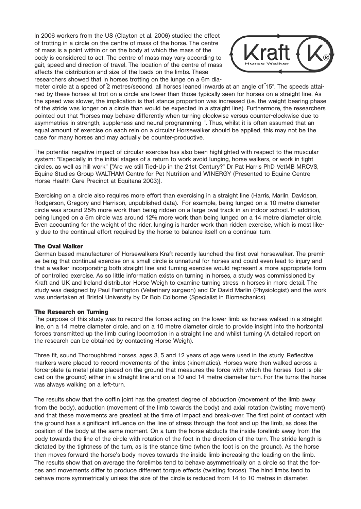In 2006 workers from the US (Clayton et al. 2006) studied the effect of trotting in a circle on the centre of mass of the horse. The centre of mass is a point within or on the body at which the mass of the body is considered to act. The centre of mass may vary according to gait, speed and direction of travel. The location of the centre of mass affects the distribution and size of the loads on the limbs. These researchers showed that in horses trotting on the lunge on a 6m dia-



meter circle at a speed of 2 metres/second, all horses leaned inwards at an angle of 15°. The speeds attained by these horses at trot on a circle are lower than those typically seen for horses on a straight line. As the speed was slower, the implication is that stance proportion was increased (i.e. the weight bearing phase of the stride was longer on a circle than would be expected in a straight line). Furthermore, the researchers pointed out that "horses may behave differently when turning clockwise versus counter-clockwise due to asymmetries in strength, suppleness and neural programming ". Thus, whilst it is often assumed that an equal amount of exercise on each rein on a circular Horsewalker should be applied, this may not be the case for many horses and may actually be counter-productive.

The potential negative impact of circular exercise has also been highlighted with respect to the muscular system: "Especially in the initial stages of a return to work avoid lunging, horse walkers, or work in tight circles, as well as hill work" ["Are we still Tied-Up in the 21st Century?" Dr Pat Harris PhD VetMB MRCVS, Equine Studies Group WALTHAM Centre for Pet Nutrition and WINERGY (Presented to Equine Centre Horse Health Care Precinct at Equitana 2003)].

Exercising on a circle also requires more effort than exercising in a straight line (Harris, Marlin, Davidson, Rodgerson, Gregory and Harrison, unpublished data). For example, being lunged on a 10 metre diameter circle was around 25% more work than being ridden on a large oval track in an indoor school. In addition, being lunged on a 5m circle was around 12% more work than being lunged on a 14 metre diameter circle. Even accounting for the weight of the rider, lunging is harder work than ridden exercise, which is most likely due to the continual effort required by the horse to balance itself on a continual turn.

### **The Oval Walker**

German based manufacturer of Horsewalkers Kraft recently launched the first oval horsewalker. The premise being that continual exercise on a small circle is unnatural for horses and could even lead to injury and that a walker incorporating both straight line and turning exercise would represent a more appropriate form of controlled exercise. As so little information exists on turning in horses, a study was commissioned by Kraft and UK and Ireland distributor Horse Weigh to examine turning stress in horses in more detail. The study was designed by Paul Farrington (Veterinary surgeon) and Dr David Marlin (Physiologist) and the work was undertaken at Bristol University by Dr Bob Colborne (Specialist in Biomechanics).

### **The Research on Turning**

The purpose of this study was to record the forces acting on the lower limb as horses walked in a straight line, on a 14 metre diameter circle, and on a 10 metre diameter circle to provide insight into the horizontal forces transmitted up the limb during locomotion in a straight line and whilst turning (A detailed report on the research can be obtained by contacting Horse Weigh).

Three fit, sound Thoroughbred horses, ages 3, 5 and 12 years of age were used in the study. Reflective markers were placed to record movements of the limbs (kinematics). Horses were then walked across a force-plate (a metal plate placed on the ground that measures the force with which the horses' foot is placed on the ground) either in a straight line and on a 10 and 14 metre diameter turn. For the turns the horse was always walking on a left-turn.

The results show that the coffin joint has the greatest degree of abduction (movement of the limb away from the body), adduction (movement of the limb towards the body) and axial rotation (twisting movement) and that these movements are greatest at the time of impact and break-over. The first point of contact with the ground has a significant influence on the line of stress through the foot and up the limb, as does the position of the body at the same moment. On a turn the horse abducts the inside forelimb away from the body towards the line of the circle with rotation of the foot in the direction of the turn. The stride length is dictated by the tightness of the turn, as is the stance time (when the foot is on the ground). As the horse then moves forward the horse's body moves towards the inside limb increasing the loading on the limb. The results show that on average the forelimbs tend to behave asymmetrically on a circle so that the forces and movements differ to produce different torque effects (twisting forces). The hind limbs tend to behave more symmetrically unless the size of the circle is reduced from 14 to 10 metres in diameter.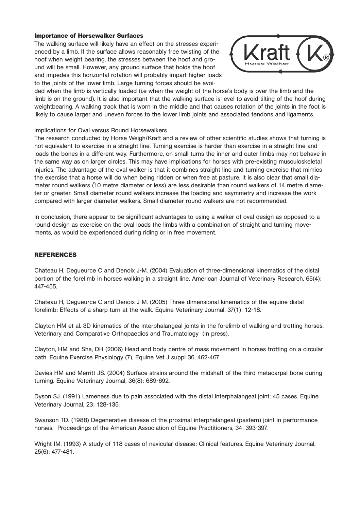### **Importance of Horsewalker Surfaces**

The walking surface will likely have an effect on the stresses experienced by a limb. If the surface allows reasonably free twisting of the hoof when weight bearing, the stresses between the hoof and ground will be small. However, any ground surface that holds the hoof and impedes this horizontal rotation will probably impart higher loads to the joints of the lower limb. Large turning forces should be avoi-



ded when the limb is vertically loaded (i.e when the weight of the horse's body is over the limb and the limb is on the ground). It is also important that the walking surface is level to avoid tilting of the hoof during weightbearing. A walking track that is worn in the middle and that causes rotation of the joints in the foot is likely to cause larger and uneven forces to the lower limb joints and associated tendons and ligaments.

### Implications for Oval versus Round Horsewalkers

The research conducted by Horse Weigh/Kraft and a review of other scientific studies shows that turning is not equivalent to exercise in a straight line. Turning exercise is harder than exercise in a straight line and loads the bones in a different way. Furthermore, on small turns the inner and outer limbs may not behave in the same way as on larger circles. This may have implications for horses with pre-existing musculoskeletal injuries. The advantage of the oval walker is that it combines straight line and turning exercise that mimics the exercise that a horse will do when being ridden or when free at pasture. It is also clear that small diameter round walkers (10 metre diameter or less) are less desirable than round walkers of 14 metre diameter or greater. Small diameter round walkers increase the loading and asymmetry and increase the work compared with larger diameter walkers. Small diameter round walkers are not recommended.

In conclusion, there appear to be significant advantages to using a walker of oval design as opposed to a round design as exercise on the oval loads the limbs with a combination of straight and turning movements, as would be experienced during riding or in free movement.

### **REFERENCES**

Chateau H, Degueurce C and Denoix J-M. (2004) Evaluation of three-dimensional kinematics of the distal portion of the forelimb in horses walking in a straight line. American Journal of Veterinary Research, 65(4): 447-455.

Chateau H, Degueurce C and Denoix J-M. (2005) Three-dimensional kinematics of the equine distal forelimb: Effects of a sharp turn at the walk. Equine Veterinary Journal, 37(1): 12-18.

Clayton HM et al. 3D kinematics of the interphalangeal joints in the forelimb of walking and trotting horses. Veterinary and Comparative Orthopaedics and Traumatology (In press).

Clayton, HM and Sha, DH (2006) Head and body centre of mass movement in horses trotting on a circular path. Equine Exercise Physiology (7), Equine Vet J suppl 36, 462-467.

Davies HM and Merritt JS. (2004) Surface strains around the midshaft of the third metacarpal bone during turning. Equine Veterinary Journal, 36(8): 689-692.

Dyson SJ. (1991) Lameness due to pain associated with the distal interphalangeal joint: 45 cases. Equine Veterinary Journal, 23: 128-135.

Swanson TD. (1988) Degenerative disease of the proximal interphalangeal (pastern) joint in performance horses. Proceedings of the American Association of Equine Practitioners, 34: 393-397.

Wright IM. (1993) A study of 118 cases of navicular disease: Clinical features. Equine Veterinary Journal, 25(6): 477-481.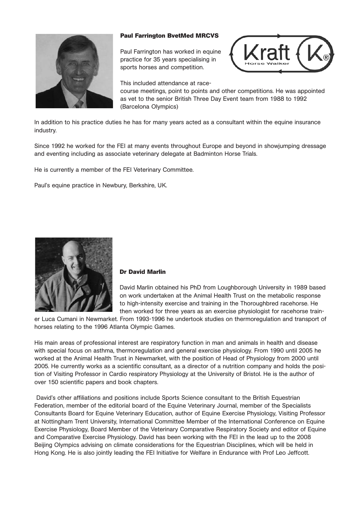

### **Paul Farrington BvetMed MRCVS**

Paul Farrington has worked in equine practice for 35 years specialising in sports horses and competition.



This included attendance at race-

course meetings, point to points and other competitions. He was appointed as vet to the senior British Three Day Event team from 1988 to 1992 (Barcelona Olympics)

In addition to his practice duties he has for many years acted as a consultant within the equine insurance industry.

Since 1992 he worked for the FEI at many events throughout Europe and beyond in showjumping dressage and eventing including as associate veterinary delegate at Badminton Horse Trials.

He is currently a member of the FEI Veterinary Committee.

Paul's equine practice in Newbury, Berkshire, UK.



### **Dr David Marlin**

David Marlin obtained his PhD from Loughborough University in 1989 based on work undertaken at the Animal Health Trust on the metabolic response to high-intensity exercise and training in the Thoroughbred racehorse. He then worked for three years as an exercise physiologist for racehorse train-

er Luca Cumani in Newmarket. From 1993-1996 he undertook studies on thermoregulation and transport of horses relating to the 1996 Atlanta Olympic Games.

His main areas of professional interest are respiratory function in man and animals in health and disease with special focus on asthma, thermoregulation and general exercise physiology. From 1990 until 2005 he worked at the Animal Health Trust in Newmarket, with the position of Head of Physiology from 2000 until 2005. He currently works as a scientific consultant, as a director of a nutrition company and holds the position of Visiting Professor in Cardio respiratory Physiology at the University of Bristol. He is the author of over 150 scientific papers and book chapters.

David's other affiliations and positions include Sports Science consultant to the British Equestrian Federation, member of the editorial board of the Equine Veterinary Journal, member of the Specialists Consultants Board for Equine Veterinary Education, author of Equine Exercise Physiology, Visiting Professor at Nottingham Trent University, International Committee Member of the International Conference on Equine Exercise Physiology, Board Member of the Veterinary Comparative Respiratory Society and editor of Equine and Comparative Exercise Physiology. David has been working with the FEI in the lead up to the 2008 Beijing Olympics advising on climate considerations for the Equestrian Disciplines, which will be held in Hong Kong. He is also jointly leading the FEI Initiative for Welfare in Endurance with Prof Leo Jeffcott.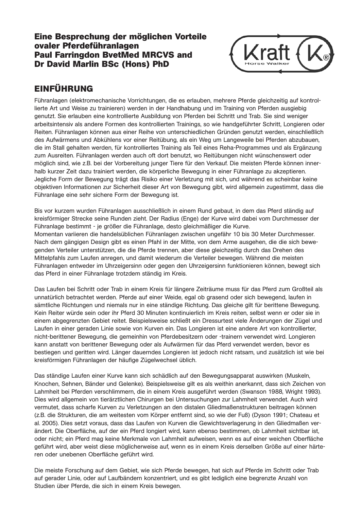### **Eine Besprechung der möglichen Vorteile ovaler Pferdeführanlagen Paul Farringdon BvetMed MRCVS and Dr David Marlin BSc (Hons) PhD**



# **EINFÜHRUNG**

Führanlagen (elektromechanische Vorrichtungen, die es erlauben, mehrere Pferde gleichzeitig auf kontrollierte Art und Weise zu trainieren) werden in der Handhabung und im Training von Pferden ausgiebig genutzt. Sie erlauben eine kontrollierte Ausbildung von Pferden bei Schritt und Trab. Sie sind weniger arbeitsintensiv als andere Formen des kontrollierten Trainings, so wie handgeführter Schritt, Longieren oder Reiten. Führanlagen können aus einer Reihe von unterschiedlichen Gründen genutzt werden, einschließlich des Aufwärmens und Abkühlens vor einer Reitübung, als ein Weg um Langeweile bei Pferden abzubauen, die im Stall gehalten werden, für kontrolliertes Training als Teil eines Reha-Programmes und als Ergänzung zum Ausreiten. Führanlagen werden auch oft dort benutzt, wo Reitübungen nicht wünschenswert oder möglich sind, wie z.B. bei der Vorbereitung junger Tiere für den Verkauf. Die meisten Pferde können innerhalb kurzer Zeit dazu trainiert werden, die körperliche Bewegung in einer Führanlage zu akzeptieren. Jegliche Form der Bewegung trägt das Risiko einer Verletzung mit sich, und während es scheinbar keine objektiven Informationen zur Sicherheit dieser Art von Bewegung gibt, wird allgemein zugestimmt, dass die Führanlage eine sehr sichere Form der Bewegung ist.

Bis vor kurzem wurden Führanlagen ausschließlich in einem Rund gebaut, in dem das Pferd ständig auf kreisförmiger Strecke seine Runden zieht. Der Radius (Enge) der Kurve wird dabei vom Durchmesser der Führanlage bestimmt - je größer die Führanlage, desto gleichmäßiger die Kurve. Momentan variieren die handelsüblichen Führanlagen zwischen ungefähr 10 bis 30 Meter Durchmesser. Nach dem gängigen Design gibt es einen Pfahl in der Mitte, von dem Arme ausgehen, die die sich bewegenden Verteiler unterstützen, die die Pferde trennen, aber diese gleichzeitig durch das Drehen des Mittelpfahls zum Laufen anregen, und damit wiederum die Verteiler bewegen. Während die meisten Führanlagen entweder im Uhrzeigersinn oder gegen den Uhrzeigersinn funktionieren können, bewegt sich das Pferd in einer Führanlage trotzdem ständig im Kreis.

Das Laufen bei Schritt oder Trab in einem Kreis für längere Zeiträume muss für das Pferd zum Großteil als unnatürlich betrachtet werden. Pferde auf einer Weide, egal ob grasend oder sich bewegend, laufen in sämtliche Richtungen und niemals nur in eine ständige Richtung. Das gleiche gilt für berittene Bewegung. Kein Reiter würde sein oder ihr Pferd 30 Minuten kontinuierlich im Kreis reiten, selbst wenn er oder sie in einem abgegrenzten Gebiet reitet. Beispielsweise schließt ein Dressurtest viele Änderungen der Zügel und Laufen in einer geraden Linie sowie von Kurven ein. Das Longieren ist eine andere Art von kontrollierter, nicht-berittener Bewegung, die gemeinhin von Pferdebesitzern oder -trainern verwendet wird. Longieren kann anstatt von berittener Bewegung oder als Aufwärmen für das Pferd verwendet werden, bevor es bestiegen und geritten wird. Länger dauerndes Longieren ist jedoch nicht ratsam, und zusätzlich ist wie bei kreisförmigen Führanlagen der häufige Zügelwechsel üblich.

Das ständige Laufen einer Kurve kann sich schädlich auf den Bewegungsapparat auswirken (Muskeln, Knochen, Sehnen, Bänder und Gelenke). Beispielsweise gilt es als weithin anerkannt, dass sich Zeichen von Lahmheit bei Pferden verschlimmern, die in einem Kreis ausgeführt werden (Swanson 1988, Wright 1993). Dies wird allgemein von tierärztlichen Chirurgen bei Untersuchungen zur Lahmheit verwendet. Auch wird vermutet, dass scharfe Kurven zu Verletzungen an den distalen Gliedmaßenstrukturen beitragen können (z.B. die Strukturen, die am weitesten vom Körper entfernt sind, so wie der Fuß) (Dyson 1991; Chateau et al. 2005). Dies setzt voraus, dass das Laufen von Kurven die Gewichtsverlagerung in den Gliedmaßen verändert. Die Oberfläche, auf der ein Pferd longiert wird, kann ebenso bestimmen, ob Lahmheit sichtbar ist, oder nicht; ein Pferd mag keine Merkmale von Lahmheit aufweisen, wenn es auf einer weichen Oberfläche geführt wird, aber weist diese möglicherweise auf, wenn es in einem Kreis derselben Größe auf einer härteren oder unebenen Oberfläche geführt wird.

Die meiste Forschung auf dem Gebiet, wie sich Pferde bewegen, hat sich auf Pferde im Schritt oder Trab auf gerader Linie, oder auf Laufbändern konzentriert, und es gibt lediglich eine begrenzte Anzahl von Studien über Pferde, die sich in einem Kreis bewegen.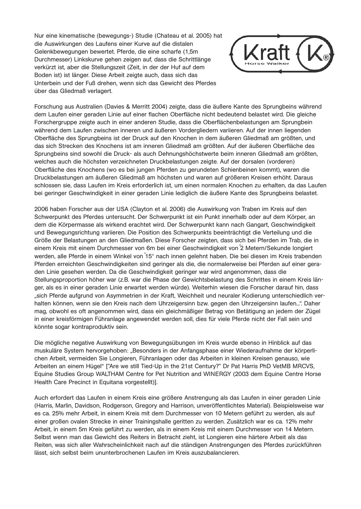Nur eine kinematische (bewegungs-) Studie (Chateau et al. 2005) hat die Auswirkungen des Laufens einer Kurve auf die distalen Gelenkbewegungen bewertet. Pferde, die eine scharfe (1,5m Durchmesser) Linkskurve gehen zeigen auf, dass die Schrittlänge verkürzt ist, aber die Stellungszeit (Zeit, in der der Huf auf dem Boden ist) ist länger. Diese Arbeit zeigte auch, dass sich das Unterbein und der Fuß drehen, wenn sich das Gewicht des Pferdes über das Gliedmaß verlagert.



Forschung aus Australien (Davies & Merritt 2004) zeigte, dass die äußere Kante des Sprungbeins während dem Laufen einer geraden Linie auf einer flachen Oberfläche nicht bedeutend belastet wird. Die gleiche Forschergruppe zeigte auch in einer anderen Studie, dass die Oberflächenbelastungen am Sprungbein während dem Laufen zwischen inneren und äußeren Vordergliedern variieren. Auf der innen liegenden Oberfläche des Sprungbeins ist der Druck auf den Knochen in dem äußeren Gliedmaß am größten, und das sich Strecken des Knochens ist am inneren Gliedmaß am größten. Auf der äußeren Oberfläche des Sprungbeins sind sowohl die Druck- als auch Dehnungshöchstwerte beim inneren Gliedmaß am größten, welches auch die höchsten verzeichneten Druckbelastungen zeigte. Auf der dorsalen (vorderen) Oberfläche des Knochens (wo es bei jungen Pferden zu gerundeten Schienbeinen kommt), waren die Druckbelastungen am äußeren Gliedmaß am höchsten und waren auf größeren Kreisen erhöht. Daraus schlossen sie, dass Laufen im Kreis erforderlich ist, um einen normalen Knochen zu erhalten, da das Laufen bei geringer Geschwindigkeit in einer geraden Linie lediglich die äußere Kante des Sprungbeins belastet.

2006 haben Forscher aus der USA (Clayton et al. 2006) die Auswirkung von Traben im Kreis auf den Schwerpunkt des Pferdes untersucht. Der Schwerpunkt ist ein Punkt innerhalb oder auf dem Körper, an dem die Körpermasse als wirkend erachtet wird. Der Schwerpunkt kann nach Gangart, Geschwindigkeit und Bewegungsrichtung variieren. Die Position des Schwerpunkts beeinträchtigt die Verteilung und die Größe der Belastungen an den Gliedmaßen. Diese Forscher zeigten, dass sich bei Pferden im Trab, die in einem Kreis mit einem Durchmesser von 6m bei einer Geschwindigkeit von 2 Metern/Sekunde longiert werden, alle Pferde in einem Winkel von 15° nach innen gelehnt haben. Die bei diesen im Kreis trabenden Pferden erreichten Geschwindigkeiten sind geringer als die, die normalerweise bei Pferden auf einer geraden Linie gesehen werden. Da die Geschwindigkeit geringer war wird angenommen, dass die Stellungsproportion höher war (z.B. war die Phase der Gewichtsbelastung des Schrittes in einem Kreis länger, als es in einer geraden Linie erwartet werden würde). Weiterhin wiesen die Forscher darauf hin, dass "sich Pferde aufgrund von Asymmetrien in der Kraft, Weichheit und neuraler Kodierung unterschiedlich verhalten können, wenn sie den Kreis nach dem Uhrzeigersinn bzw. gegen den Uhrzeigersinn laufen...". Daher mag, obwohl es oft angenommen wird, dass ein gleichmäßiger Betrag von Betätigung an jedem der Zügel in einer kreisförmigen Führanlage angewendet werden soll, dies für viele Pferde nicht der Fall sein und könnte sogar kontraproduktiv sein.

Die mögliche negative Auswirkung von Bewegungsübungen im Kreis wurde ebenso in Hinblick auf das muskuläre System hervorgehoben: "Besonders in der Anfangsphase einer Wiederaufnahme der körperlichen Arbeit, vermeiden Sie Longieren, Führanlagen oder das Arbeiten in kleinen Kreisen genauso, wie Arbeiten an einem Hügel" ["Are we still Tied-Up in the 21st Century?" Dr Pat Harris PhD VetMB MRCVS, Equine Studies Group WALTHAM Centre for Pet Nutrition and WINERGY (2003 dem Equine Centre Horse Health Care Precinct in Equitana vorgestellt)].

Auch erfordert das Laufen in einem Kreis eine größere Anstrengung als das Laufen in einer geraden Linie (Harris, Marlin, Davidson, Rodgerson, Gregory and Harrison, unveröffentlichtes Material). Beispielsweise war es ca. 25% mehr Arbeit, in einem Kreis mit dem Durchmesser von 10 Metern geführt zu werden, als auf einer großen ovalen Strecke in einer Trainingshalle geritten zu werden. Zusätzlich war es ca. 12% mehr Arbeit, in einem 5m Kreis geführt zu werden, als in einem Kreis mit einem Durchmesser von 14 Metern. Selbst wenn man das Gewicht des Reiters in Betracht zieht, ist Longieren eine härtere Arbeit als das Reiten, was sich aller Wahrscheinlichkeit nach auf die ständigen Anstrengungen des Pferdes zurückführen lässt, sich selbst beim ununterbrochenen Laufen im Kreis auszubalancieren.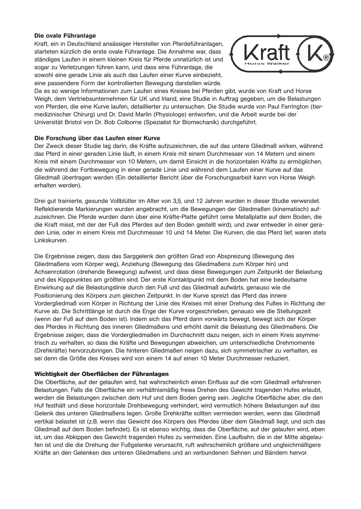### **Die ovale Führanlage**

Kraft, ein in Deutschland ansässiger Hersteller von Pferdeführanlagen, starteten kürzlich die erste ovale Führanlage. Die Annahme war, dass ständiges Laufen in einem kleinen Kreis für Pferde unnatürlich ist und sogar zu Verletzungen führen kann, und dass eine Führanlage, die sowohl eine gerade Linie als auch das Laufen einer Kurve einbezieht, eine passendere Form der kontrollierten Bewegung darstellen würde.



Da es so wenige Informationen zum Laufen eines Kreises bei Pferden gibt, wurde von Kraft und Horse Weigh, dem Vertriebsunternehmen für UK und Irland, eine Studie in Auftrag gegeben, um die Belastungen von Pferden, die eine Kurve laufen, detaillierter zu untersuchen. Die Studie wurde von Paul Farrington (tiermedizinischer Chirurg) und Dr. David Marlin (Physiologe) entworfen, und die Arbeit wurde bei der Universität Bristol von Dr. Bob Colborne (Spezialist für Biomechanik) durchgeführt.

### **Die Forschung über das Laufen einer Kurve**

Der Zweck dieser Studie lag darin, die Kräfte aufzuzeichnen, die auf das untere Gliedmaß wirken, während das Pferd in einer geraden Linie läuft, in einem Kreis mit einem Durchmesser von 14 Metern und einem Kreis mit einem Durchmesser von 10 Metern, um damit Einsicht in die horizontalen Kräfte zu ermöglichen, die während der Fortbewegung in einer gerade Linie und während dem Laufen einer Kurve auf das Gliedmaß übertragen werden (Ein detaillierter Bericht über die Forschungsarbeit kann von Horse Weigh erhalten werden).

Drei gut trainierte, gesunde Vollblütler im Alter von 3,5, und 12 Jahren wurden in dieser Studie verwendet. Reflektierende Markierungen wurden angebracht, um die Bewegungen der Gliedmaßen (kinematisch) aufzuzeichnen. Die Pferde wurden dann über eine Kräfte-Platte geführt (eine Metallplatte auf dem Boden, die die Kraft misst, mit der der Fuß des Pferdes auf den Boden gestellt wird), und zwar entweder in einer geraden Linie, oder in einem Kreis mit Durchmesser 10 und 14 Meter. Die Kurven, die das Pferd lief, waren stets Linkskurven.

Die Ergebnisse zeigen, dass das Sarggelenk den größten Grad von Abspreizung (Bewegung des Gliedmaßens vom Körper weg), Anziehung (Bewegung des Gliedmaßens zum Körper hin) und Achsenrotation (drehende Bewegung) aufweist, und dass diese Bewegungen zum Zeitpunkt der Belastung und des Kipppunktes am größten sind. Der erste Kontaktpunkt mit dem Boden hat eine bedeutsame Einwirkung auf die Belastungslinie durch den Fuß und das Gliedmaß aufwärts, genauso wie die Positionierung des Körpers zum gleichen Zeitpunkt. In der Kurve spreizt das Pferd das innere Vordergliedmaß vom Körper in Richtung der Linie des Kreises mit einer Drehung des Fußes in Richtung der Kurve ab. Die Schrittlänge ist durch die Enge der Kurve vorgeschrieben, genauso wie die Stellungszeit (wenn der Fuß auf dem Boden ist). Indem sich das Pferd dann vorwärts bewegt, bewegt sich der Körper des Pferdes in Richtung des inneren Gliedmaßens und erhöht damit die Belastung des Gliedmaßens. Die Ergebnisse zeigen, dass die Vordergliedmaßen im Durchschnitt dazu neigen, sich in einem Kreis asymmetrisch zu verhalten, so dass die Kräfte und Bewegungen abweichen, um unterschiedliche Drehmomente (Drehkräfte) hervorzubringen. Die hinteren Gliedmaßen neigen dazu, sich symmetrischer zu verhalten, es sei denn die Größe des Kreises wird von einem 14 auf einen 10 Meter Durchmesser reduziert.

### **Wichtigkeit der Oberflächen der Führanlagen**

Die Oberfläche, auf der gelaufen wird, hat wahrscheinlich einen Einfluss auf die vom Gliedmaß erfahrenen Belastungen. Falls die Oberfläche ein verhältnismäßig freies Drehen des Gewicht tragenden Hufes erlaubt, werden die Belastungen zwischen dem Huf und dem Boden gering sein. Jegliche Oberfläche aber, die den Huf festhält und diese horizontale Drehbewegung verhindert, wird vermutlich höhere Belastungen auf das Gelenk des unteren Gliedmaßens legen. Große Drehkräfte sollten vermieden werden, wenn das Gliedmaß vertikal belastet ist (z.B. wenn das Gewicht des Körpers des Pferdes über dem Gliedmaß liegt, und sich das Gliedmaß auf dem Boden befindet). Es ist ebenso wichtig, dass die Oberfläche, auf der gelaufen wird, eben ist, um das Abkippen des Gewicht tragenden Hufes zu vermeiden. Eine Laufbahn, die in der Mitte abgelaufen ist und die die Drehung der Fußgelenke verursacht, ruft wahrscheinlich größere und ungleichmäßigere Kräfte an den Gelenken des unteren Gliedmaßens und an verbundenen Sehnen und Bändern hervor.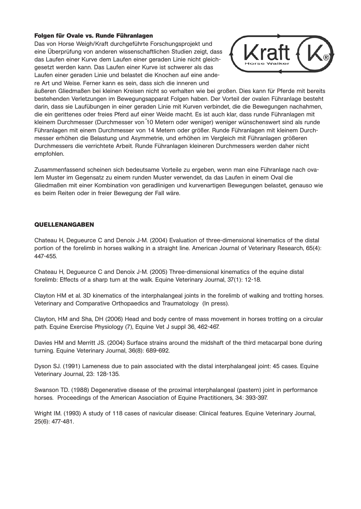### **Folgen für Ovale vs. Runde Führanlagen**

Das von Horse Weigh/Kraft durchgeführte Forschungsprojekt und eine Überprüfung von anderen wissenschaftlichen Studien zeigt, dass das Laufen einer Kurve dem Laufen einer geraden Linie nicht gleichgesetzt werden kann. Das Laufen einer Kurve ist schwerer als das Laufen einer geraden Linie und belastet die Knochen auf eine andere Art und Weise. Ferner kann es sein, dass sich die inneren und



äußeren Gliedmaßen bei kleinen Kreisen nicht so verhalten wie bei großen. Dies kann für Pferde mit bereits bestehenden Verletzungen im Bewegungsapparat Folgen haben. Der Vorteil der ovalen Führanlage besteht darin, dass sie Laufübungen in einer geraden Linie mit Kurven verbindet, die die Bewegungen nachahmen, die ein gerittenes oder freies Pferd auf einer Weide macht. Es ist auch klar, dass runde Führanlagen mit kleinem Durchmesser (Durchmesser von ~10 Metern oder weniger) weniger wünschenswert sind als runde Führanlagen mit einem Durchmesser von 14 Metern oder größer. Runde Führanlagen mit kleinem Durchmesser erhöhen die Belastung und Asymmetrie, und erhöhen im Vergleich mit Führanlagen größeren Durchmessers die verrichtete Arbeit. Runde Führanlagen kleineren Durchmessers werden daher nicht empfohlen.

Zusammenfassend scheinen sich bedeutsame Vorteile zu ergeben, wenn man eine Führanlage nach ovalem Muster im Gegensatz zu einem runden Muster verwendet, da das Laufen in einem Oval die Gliedmaßen mit einer Kombination von geradlinigen und kurvenartigen Bewegungen belastet, genauso wie es beim Reiten oder in freier Bewegung der Fall wäre.

### **QUELLENANGABEN**

Chateau H, Degueurce C and Denoix J-M. (2004) Evaluation of three-dimensional kinematics of the distal portion of the forelimb in horses walking in a straight line. American Journal of Veterinary Research, 65(4): 447-455.

Chateau H, Degueurce C and Denoix J-M. (2005) Three-dimensional kinematics of the equine distal forelimb: Effects of a sharp turn at the walk. Equine Veterinary Journal, 37(1): 12-18.

Clayton HM et al. 3D kinematics of the interphalangeal joints in the forelimb of walking and trotting horses. Veterinary and Comparative Orthopaedics and Traumatology (In press).

Clayton, HM and Sha, DH (2006) Head and body centre of mass movement in horses trotting on a circular path. Equine Exercise Physiology (7), Equine Vet J suppl 36, 462-467.

Davies HM and Merritt JS. (2004) Surface strains around the midshaft of the third metacarpal bone during turning. Equine Veterinary Journal, 36(8): 689-692.

Dyson SJ. (1991) Lameness due to pain associated with the distal interphalangeal joint: 45 cases. Equine Veterinary Journal, 23: 128-135.

Swanson TD. (1988) Degenerative disease of the proximal interphalangeal (pastern) joint in performance horses. Proceedings of the American Association of Equine Practitioners, 34: 393-397.

Wright IM. (1993) A study of 118 cases of navicular disease: Clinical features. Equine Veterinary Journal, 25(6): 477-481.